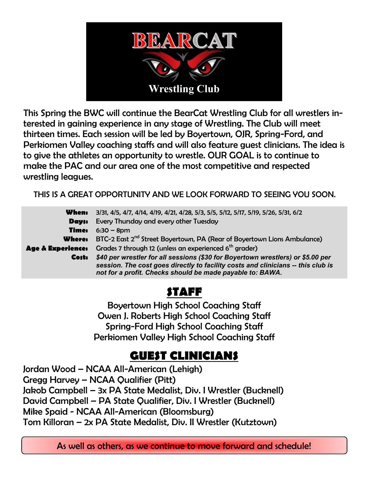

This Spring the BWC will continue the BearCat Wrestling Club for all wrestlers interested in gaining experience in any stage of Wrestling. The Club will meet thirteen times. Each session will be led by Boyertown, OJR, Spring-Ford, and Perkiomen Valley coaching staffs and will also feature guest clinicians. The idea is to give the athletes an opportunity to wrestle. OUR GOAL is to continue to make the PAC and our area one of the most competitive and respected wrestling leagues.

THIS IS A GREAT OPPORTUNITY AND WE LOOK FORWARD TO SEEING YOU SOON.

| When:                        | 3/31, 4/5, 4/7, 4/14, 4/19, 4/21, 4/28, 5/3, 5/5, 5/12, 5/17, 5/19, 5/26, 5/31, 6/2                                                           |
|------------------------------|-----------------------------------------------------------------------------------------------------------------------------------------------|
| <b>Days:</b>                 | Every Thursday and every other Tuesday                                                                                                        |
| <b>Time:</b>                 | $6:30 - 8$ pm                                                                                                                                 |
| <b>Where:</b>                | BTC-2 East 2 <sup>nd</sup> Street Boyertown, PA (Rear of Boyertown Lions Ambulance)                                                           |
| <b>Age &amp; Experience:</b> | Grades 7 through 12 (unless an experienced 6 <sup>th</sup> grader)                                                                            |
| Costi                        | \$40 per wrestler for all sessions (\$30 for Boyertown wrestlers) or \$5.00 per                                                               |
|                              | session. The cost goes directly to facility costs and clinicians -- this club is<br>not for a profit. Checks should be made payable to: BAWA. |

# **STAFF**

Boyertown High School Coaching Staff Owen J. Roberts High School Coaching Staff Spring-Ford High School Coaching Staff Perkiomen Valley High School Coaching Staff

## **GUEST CLINICIANS**

Jordan Wood – NCAA All-American (Lehigh) Gregg Harvey – NCAA Qualifier (Pitt) Jakob Campbell – 3x PA State Medalist, Div. I Wrestler (Bucknell) David Campbell – PA State Qualifier, Div. I Wrestler (Bucknell) Mike Spaid - NCAA All-American (Bloomsburg) Tom Killoran – 2x PA State Medalist, Div. II Wrestler (Kutztown)

As well as others, as we continue to move forward and schedule!